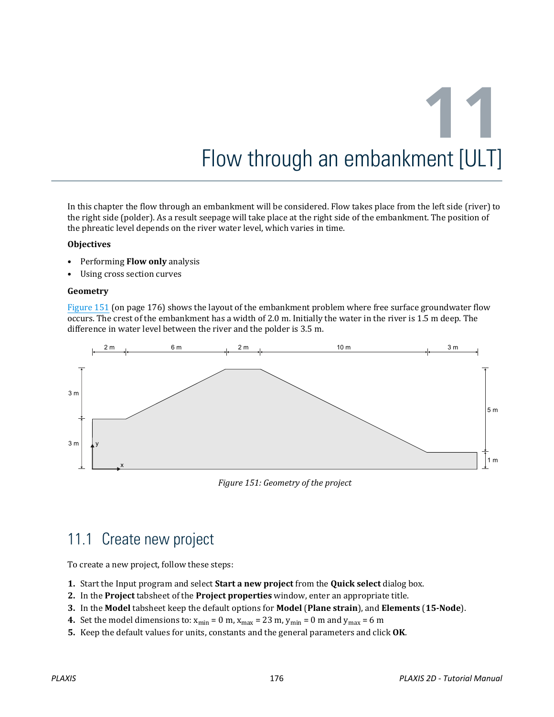In this chapter the flow through an embankment will be considered. Flow takes place from the left side (river) to the right side (polder). As a result seepage will take place at the right side of the embankment. The position of the phreatic level depends on the river water level, which varies in time.

#### **Objectives**

- Performing **Flow only** analysis
- Using cross section curves

#### **Geometry**

Figure 151 (on page 176) shows the layout of the embankment problem where free surface groundwater flow occurs. The crest of the embankment has a width of 2.0 m. Initially the water in the river is 1.5 m deep. The difference in water level between the river and the polder is 3.5 m.



*Figure 151: Geometry of the project*

## 11.1 Create new project

To create a new project, follow these steps:

- **1.** Start the Input program and select **Start a new project** from the **Quick select** dialog box.
- **2.** In the **Project** tabsheet of the **Project properties** window, enter an appropriate title.
- **3.** In the **Model** tabsheet keep the default options for **Model** (**Plane strain**), and **Elements** (**15-Node**).
- **4.** Set the model dimensions to:  $x_{min} = 0$  m,  $x_{max} = 23$  m,  $y_{min} = 0$  m and  $y_{max} = 6$  m
- **5.** Keep the default values for units, constants and the general parameters and click **OK**.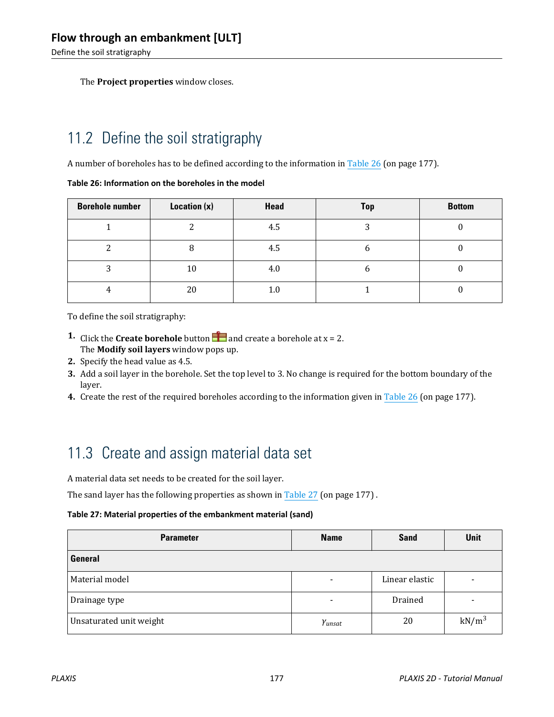<span id="page-1-0"></span>Define the soil stratigraphy

The **Project properties** window closes.

# 11.2 Define the soil stratigraphy

A number of boreholes has to be defined according to the information in Table 26 (on page 177).

#### **Table 26: Information on the boreholes in the model**

| <b>Borehole number</b> | Location $(x)$ | Head    | <b>Top</b> | <b>Bottom</b> |
|------------------------|----------------|---------|------------|---------------|
|                        |                | 4.5     |            |               |
|                        | ი              | 4.5     | o          |               |
|                        | 10             | 4.0     | b          |               |
|                        | 20             | $1.0\,$ |            |               |

To define the soil stratigraphy:

- **1.** Click the **Create borehole** button **and create a borehole at**  $x = 2$ **.** The **Modify soil layers** window pops up.
- **2.** Specify the head value as 4.5.
- **3.** Add a soil layer in the borehole. Set the top level to 3. No change is required for the bottom boundary of the layer.
- **4.** Create the rest of the required boreholes according to the information given in Table 26 (on page 177).

# 11.3 Create and assign material data set

A material data set needs to be created for the soil layer.

The sand layer has the following properties as shown in Table 27 (on page 177) .

#### **Table 27: Material properties of the embankment material (sand)**

| <b>Parameter</b>        | <b>Name</b>                  | <b>Sand</b>    | <b>Unit</b> |
|-------------------------|------------------------------|----------------|-------------|
| <b>General</b>          |                              |                |             |
| Material model          | $\qquad \qquad \blacksquare$ | Linear elastic |             |
| Drainage type           | $\qquad \qquad \blacksquare$ | Drained        |             |
| Unsaturated unit weight | Yunsat                       | 20             | $kN/m^3$    |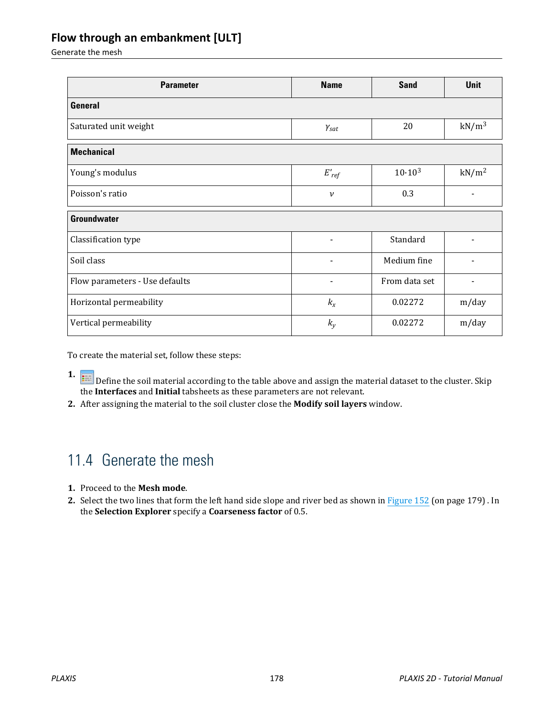Generate the mesh

| <b>Parameter</b>               | <b>Name</b>                  | <b>Sand</b>   | <b>Unit</b>              |
|--------------------------------|------------------------------|---------------|--------------------------|
| <b>General</b>                 |                              |               |                          |
| Saturated unit weight          | $\gamma_{\textit{sat}}$      | 20            | $kN/m^3$                 |
| <b>Mechanical</b>              |                              |               |                          |
| Young's modulus                | $E_{ref}'$                   | $10.10^{3}$   | kN/m <sup>2</sup>        |
| Poisson's ratio                | $\mathcal V$                 | 0.3           | $\overline{\phantom{0}}$ |
| <b>Groundwater</b>             |                              |               |                          |
| Classification type            | $\qquad \qquad \blacksquare$ | Standard      |                          |
| Soil class                     | $\blacksquare$               | Medium fine   |                          |
| Flow parameters - Use defaults |                              | From data set |                          |
| Horizontal permeability        | $k_{x}$                      | 0.02272       | m/day                    |
| Vertical permeability          | $k_{y}$                      | 0.02272       | m/day                    |

To create the material set, follow these steps:

- **1. I.** Define the soil material according to the table above and assign the material dataset to the cluster. Skip the **Interfaces** and **Initial** tabsheets as these parameters are not relevant.
- **2.** After assigning the material to the soil cluster close the **Modify soil layers** window.

## 11.4 Generate the mesh

- **1.** Proceed to the **Mesh mode**.
- **2.** Select the two lines that form the left hand side slope and river bed as shown in [Figure 152](#page-3-0) (on page 179) . In the **Selection Explorer** specify a **Coarseness factor** of 0.5.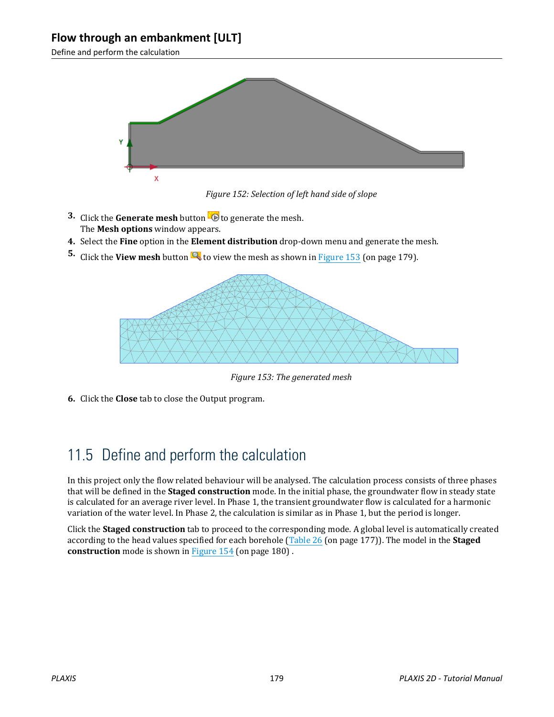<span id="page-3-0"></span>Define and perform the calculation



*Figure 152: Selection of left hand side of slope*

- **3.** Click the **Generate mesh** button **to** to generate the mesh. The **Mesh options** window appears.
- **4.** Select the **Fine** option in the **Element distribution** drop-down menu and generate the mesh.
- **5.** Click the **View mesh** button **to** to view the mesh as shown in Figure 153 (on page 179).



*Figure 153: The generated mesh*

**6.** Click the **Close** tab to close the Output program.

# 11.5 Define and perform the calculation

In this project only the flow related behaviour will be analysed. The calculation process consists of three phases that will be defined in the **Staged construction** mode. In the initial phase, the groundwater flow in steady state is calculated for an average river level. In Phase 1, the transient groundwater flow is calculated for a harmonic variation of the water level. In Phase 2, the calculation is similar as in Phase 1, but the period is longer.

Click the **Staged construction** tab to proceed to the corresponding mode. A global level is automatically created according to the head values specified for each borehole [\(Table 26](#page-1-0) (on page 177)). The model in the **Staged construction** mode is shown in [Figure 154](#page-4-0) (on page 180) .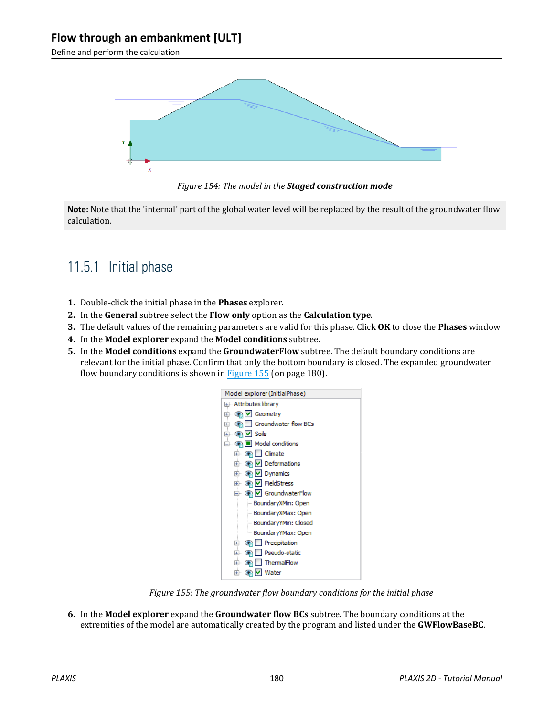<span id="page-4-0"></span>Define and perform the calculation



*Figure 154: The model in the Staged construction mode*

**Note:** Note that the 'internal' part of the global water level will be replaced by the result of the groundwater flow calculation.

## 11.5.1 Initial phase

- **1.** Double-click the initial phase in the **Phases** explorer.
- **2.** In the **General** subtree select the **Flow only** option as the **Calculation type**.
- **3.** The default values of the remaining parameters are valid for this phase. Click **OK** to close the **Phases** window.
- **4.** In the **Model explorer** expand the **Model conditions** subtree.
- **5.** In the **Model conditions** expand the **GroundwaterFlow** subtree. The default boundary conditions are relevant for the initial phase. Confirm that only the bottom boundary is closed. The expanded groundwater flow boundary conditions is shown in Figure 155 (on page 180).



*Figure 155: The groundwater flow boundary conditions for the initial phase*

**6.** In the **Model explorer** expand the **Groundwater flow BCs** subtree. The boundary conditions at the extremities of the model are automatically created by the program and listed under the **GWFlowBaseBC**.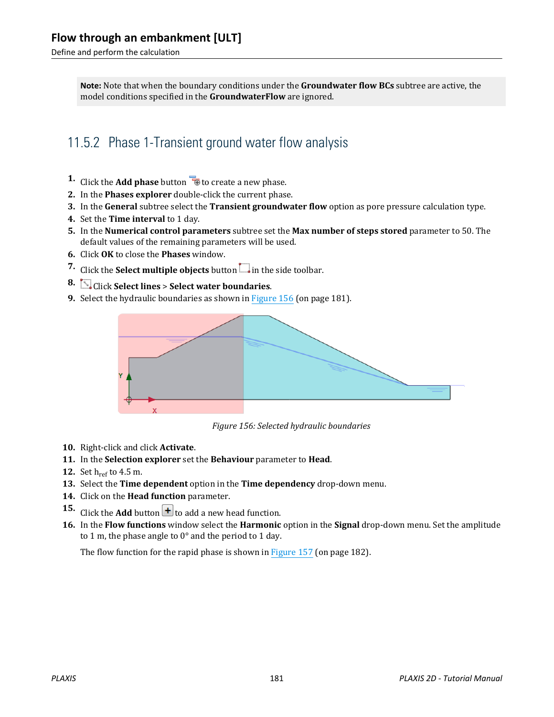Define and perform the calculation

**Note:** Note that when the boundary conditions under the **Groundwater flow BCs** subtree are active, the model conditions specified in the **GroundwaterFlow** are ignored.

## 11.5.2 Phase 1-Transient ground water flow analysis

- **1.** Click the **Add phase** button **the conduct** a new phase.
- **2.** In the **Phases explorer** double-click the current phase.
- **3.** In the **General** subtree select the **Transient groundwater flow** option as pore pressure calculation type.
- **4.** Set the **Time interval** to 1 day.
- **5.** In the **Numerical control parameters** subtree set the **Max number of steps stored** parameter to 50. The default values of the remaining parameters will be used.
- **6.** Click **OK** to close the **Phases** window.
- **7.** Click the **Select multiple objects** button  $\Box$  in the side toolbar.
- **8.** Click **Select lines** > **Select water boundaries**.
- **9.** Select the hydraulic boundaries as shown in Figure 156 (on page 181).



*Figure 156: Selected hydraulic boundaries*

- **10.** Right-click and click **Activate**.
- **11.** In the **Selection explorer** set the **Behaviour** parameter to **Head**.
- **12.** Set h<sub>ref</sub> to 4.5 m.
- **13.** Select the **Time dependent** option in the **Time dependency** drop-down menu.
- **14.** Click on the **Head function** parameter.
- **15.** Click the **Add** button  $\mathbf{+}$  to add a new head function.
- **16.** In the **Flow functions** window select the **Harmonic** option in the **Signal** drop-down menu. Set the amplitude to 1 m, the phase angle to 0° and the period to 1 day.

The flow function for the rapid phase is shown in [Figure 157](#page-6-0) (on page 182).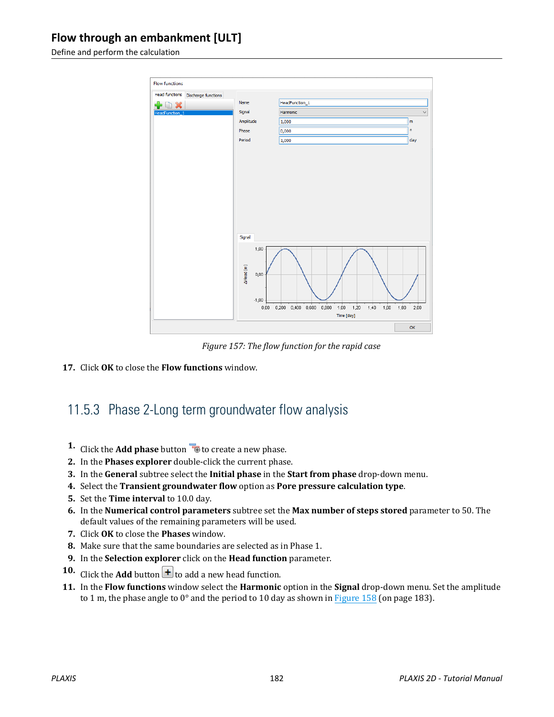<span id="page-6-0"></span>Define and perform the calculation



*Figure 157: The flow function for the rapid case*

**17.** Click **OK** to close the **Flow functions** window.

## 11.5.3 Phase 2-Long term groundwater flow analysis

- **1.** Click the **Add phase** button **to** to create a new phase.
- **2.** In the **Phases explorer** double-click the current phase.
- **3.** In the **General** subtree select the **Initial phase** in the **Start from phase** drop-down menu.
- **4.** Select the **Transient groundwater flow** option as **Pore pressure calculation type**.
- **5.** Set the **Time interval** to 10.0 day.
- **6.** In the **Numerical control parameters** subtree set the **Max number of steps stored** parameter to 50. The default values of the remaining parameters will be used.
- **7.** Click **OK** to close the **Phases** window.
- **8.** Make sure that the same boundaries are selected as in Phase 1.
- **9.** In the **Selection explorer** click on the **Head function** parameter.
- **10.** Click the **Add** button  $\mathbf{t}$  to add a new head function.
- **11.** In the **Flow functions** window select the **Harmonic** option in the **Signal** drop-down menu. Set the amplitude to 1 m, the phase angle to  $0^{\circ}$  and the period to 10 day as shown in [Figure 158](#page-7-0) (on page 183).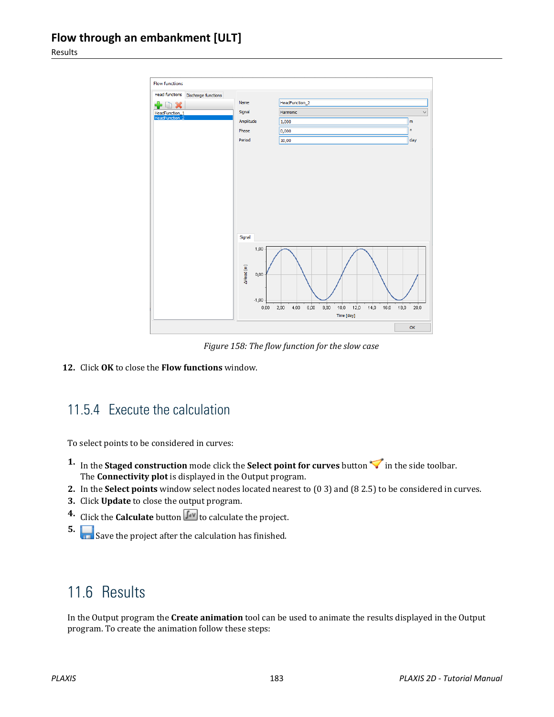<span id="page-7-0"></span>Results



*Figure 158: The flow function for the slow case*

**12.** Click **OK** to close the **Flow functions** window.

## 11.5.4 Execute the calculation

To select points to be considered in curves:

- **1.** In the **Staged construction** mode click the **Select point for curves** button  $\blacktriangledown$  in the side toolbar. The **Connectivity plot** is displayed in the Output program.
- **2.** In the **Select points** window select nodes located nearest to (0 3) and (8 2.5) to be considered in curves.
- **3.** Click **Update** to close the output program.
- **4.** Click the **Calculate** button  $\begin{bmatrix} \mathbf{f} \cdot \mathbf{v} \\ \mathbf{v} \end{bmatrix}$  to calculate the project.
- **5.** Save the project after the calculation has finished.

# 11.6 Results

In the Output program the **Create animation** tool can be used to animate the results displayed in the Output program. To create the animation follow these steps: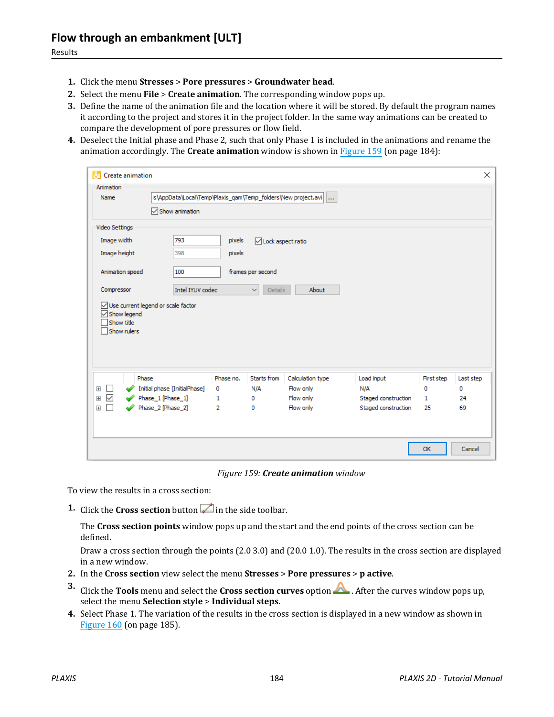- **1.** Click the menu **Stresses** > **Pore pressures** > **Groundwater head**.
- **2.** Select the menu **File** > **Create animation**. The corresponding window pops up.
- **3.** Define the name of the animation file and the location where it will be stored. By default the program names it according to the project and stores it in the project folder. In the same way animations can be created to compare the development of pore pressures or flow field.
- **4.** Deselect the Initial phase and Phase 2, such that only Phase 1 is included in the animations and rename the animation accordingly. The **Create animation** window is shown in Figure 159 (on page 184):

| Animation                                             |                                                               |                   |                                |                        |                                            |                    |           |
|-------------------------------------------------------|---------------------------------------------------------------|-------------------|--------------------------------|------------------------|--------------------------------------------|--------------------|-----------|
| Name                                                  | is\AppData\Local\Temp\Plaxis_qam\Temp_folders\New project.avi |                   |                                |                        |                                            |                    |           |
|                                                       | <b>▽ Show animation</b>                                       |                   |                                |                        |                                            |                    |           |
| Video Settings                                        |                                                               |                   |                                |                        |                                            |                    |           |
| Image width                                           | 793                                                           | pixels            | □Lock aspect ratio             |                        |                                            |                    |           |
| Image height                                          | 398                                                           | pixels            |                                |                        |                                            |                    |           |
| Animation speed                                       | 100                                                           |                   | frames per second              |                        |                                            |                    |           |
| Compressor                                            | Intel IYUV codec                                              |                   | $\checkmark$<br><b>Details</b> | About                  |                                            |                    |           |
| $\sqrt{\ }$ Show legend<br>Show title                 |                                                               |                   |                                |                        |                                            |                    |           |
| Show rulers                                           |                                                               |                   |                                |                        |                                            |                    |           |
|                                                       | Phase                                                         | Phase no.         | Starts from                    | Calculation type       | Load input                                 | First step         | Last step |
| $\overline{+}$<br>H                                   | Initial phase [InitialPhase]                                  | 0                 | N/A                            | Flow only              | N/A                                        | o                  | 0         |
| $\checkmark$<br>$\overline{+}$<br>П<br>$\overline{+}$ | Phase_1 [Phase_1]<br>Phase_2 [Phase_2]                        | $\mathbf{1}$<br>2 | 0<br>0                         | Flow only<br>Flow only | Staged construction<br>Staged construction | $\mathbf{1}$<br>25 | 24<br>69  |

*Figure 159: Create animation window*

To view the results in a cross section:

**1.** Click the **Cross section** button in the side toolbar.

The **Cross section points** window pops up and the start and the end points of the cross section can be defined.

Draw a cross section through the points (2.0 3.0) and (20.0 1.0). The results in the cross section are displayed in a new window.

- **2.** In the **Cross section** view select the menu **Stresses** > **Pore pressures** > **p active**.
- **3.** Click the **Tools** menu and select the **Cross section curves** option **A**. After the curves window pops up, select the menu **Selection style** > **Individual steps**.
- **4.** Select Phase 1. The variation of the results in the cross section is displayed in a new window as shown in [Figure 160](#page-9-0) (on page 185).